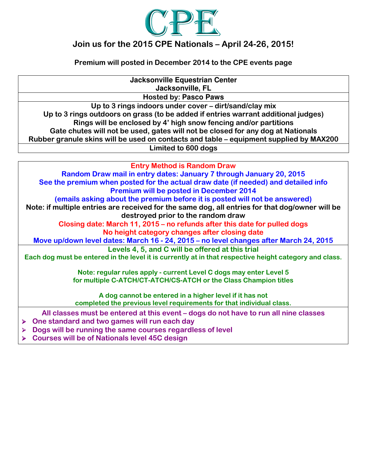

## Join us for the 2015 CPE Nationals – April 24-26, 2015!

Premium will posted in December 2014 to the CPE events page

**Jacksonville Equestrian Center Jacksonville, FL** Hosted by: **Pasco Paws** Up to 3 rings indoors under cover – dirt/sand/clay mix Up to 3 rings outdoors on grass (to be added if entries warrant additional judges) Rings will be enclosed by 4' high snow fencing and/or partitions Gate chutes will not be used, gates will not be closed for any dog at Nationals Rubber granule skins will be used on contacts and table – equipment supplied by MAX200 Limited to 600 dogs Entry Method is Random Draw Random Draw mail in entry dates: January 7 through January 20, 2015 See the premium when posted for the actual draw date (if needed) and detailed info

Premium will be posted in December 2014 (emails asking about the premium before it is posted will not be answered) Note: if multiple entries are received for the same dog, all entries for that dog/owner will be destroyed prior to the random draw Closing date: March 11, 2015 – no refunds after this date for pulled dogs No height category changes after closing date Move up/down level dates: March 16 - 24, 2015 – no level changes after March 24, 2015 Levels 4, 5, and C will be offered at this trial Each dog must be entered in the level it is currently at in that respective height category and class. Note: regular rules apply - current Level C dogs may enter Level 5

for multiple C-ATCH/CT-ATCH/CS-ATCH or the Class Champion titles

A dog cannot be entered in a higher level if it has not completed the previous level requirements for that individual class.

All classes must be entered at this event – dogs do not have to run all nine classes

- > One standard and two games will run each day
- **Dogs will be running the same courses regardless of level**
- Courses will be of Nationals level 45C design